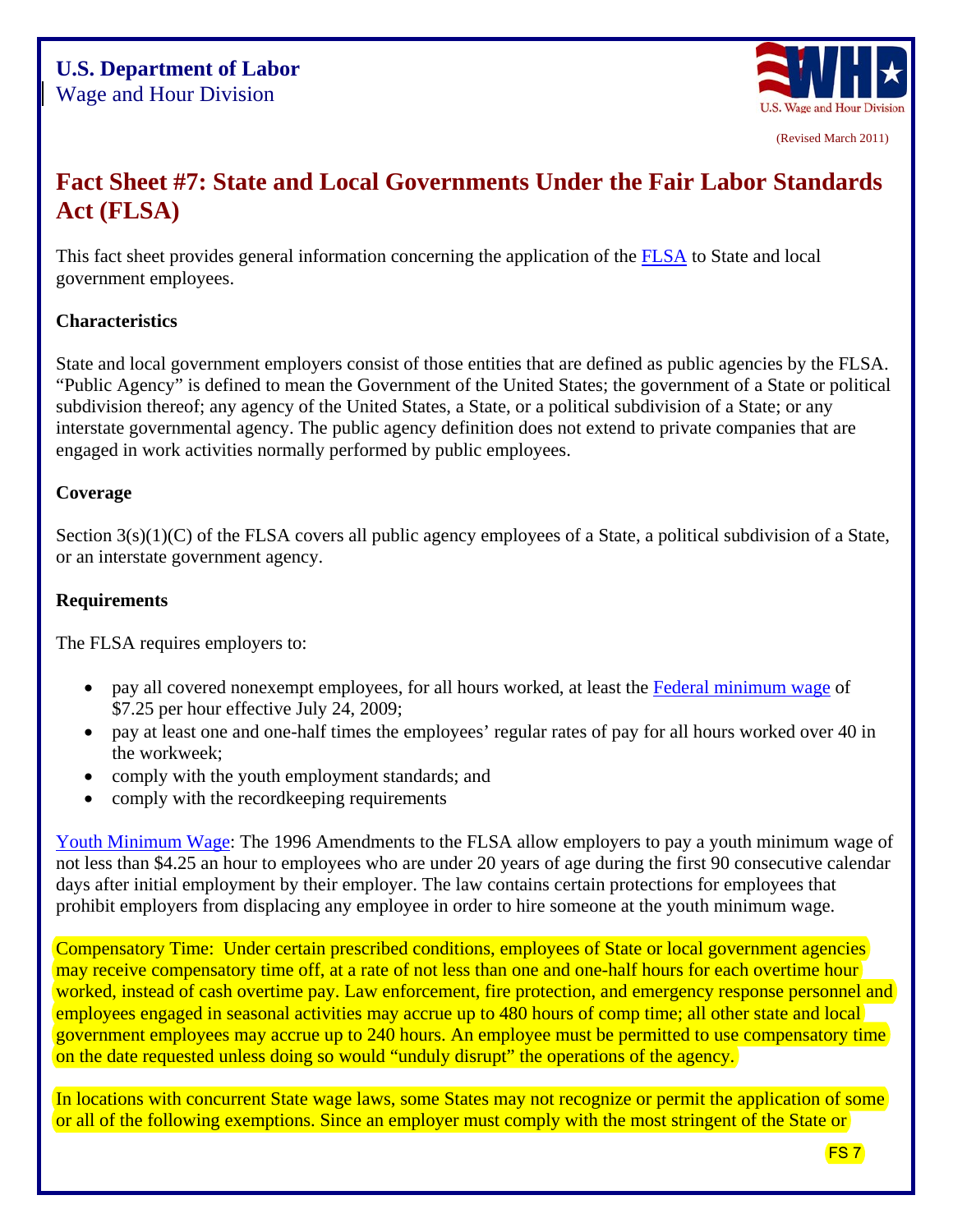

(Revised March 2011)

# **Fact Sheet #7: State and Local Governments Under the Fair Labor Standards Act (FLSA)**

This fact sheet provides general information concerning the application of the [FLSA](http://www.dol.gov/whd/flsa/index.htm) to State and local government employees.

### **Characteristics**

State and local government employers consist of those entities that are defined as public agencies by the FLSA. "Public Agency" is defined to mean the Government of the United States; the government of a State or political subdivision thereof; any agency of the United States, a State, or a political subdivision of a State; or any interstate governmental agency. The public agency definition does not extend to private companies that are engaged in work activities normally performed by public employees.

#### **Coverage**

Section  $3(s)(1)(C)$  of the FLSA covers all public agency employees of a State, a political subdivision of a State, or an interstate government agency.

#### **Requirements**

The FLSA requires employers to:

- pay all covered nonexempt employees, for all hours worked, at least the [Federal minimum wage](http://www.dol.gov/WHD/minimumwage.htm) of \$7.25 per hour effective July 24, 2009;
- pay at least one and one-half times the employees' regular rates of pay for all hours worked over 40 in the workweek;
- comply with the youth employment standards; and
- comply with the recordkeeping requirements

[Youth Minimum Wage:](http://www.dol.gov/whd/regs/compliance/whdfs32.pdf) The 1996 Amendments to the FLSA allow employers to pay a youth minimum wage of not less than \$4.25 an hour to employees who are under 20 years of age during the first 90 consecutive calendar days after initial employment by their employer. The law contains certain protections for employees that prohibit employers from displacing any employee in order to hire someone at the youth minimum wage.

Compensatory Time: Under certain prescribed conditions, employees of State or local government agencies may receive compensatory time off, at a rate of not less than one and one-half hours for each overtime hour worked, instead of cash overtime pay. Law enforcement, fire protection, and emergency response personnel and employees engaged in seasonal activities may accrue up to 480 hours of comp time; all other state and local government employees may accrue up to 240 hours. An employee must be permitted to use compensatory time on the date requested unless doing so would "unduly disrupt" the operations of the agency.

In locations with concurrent State wage laws, some States may not recognize or permit the application of some or all of the following exemptions. Since an employer must comply with the most stringent of the State or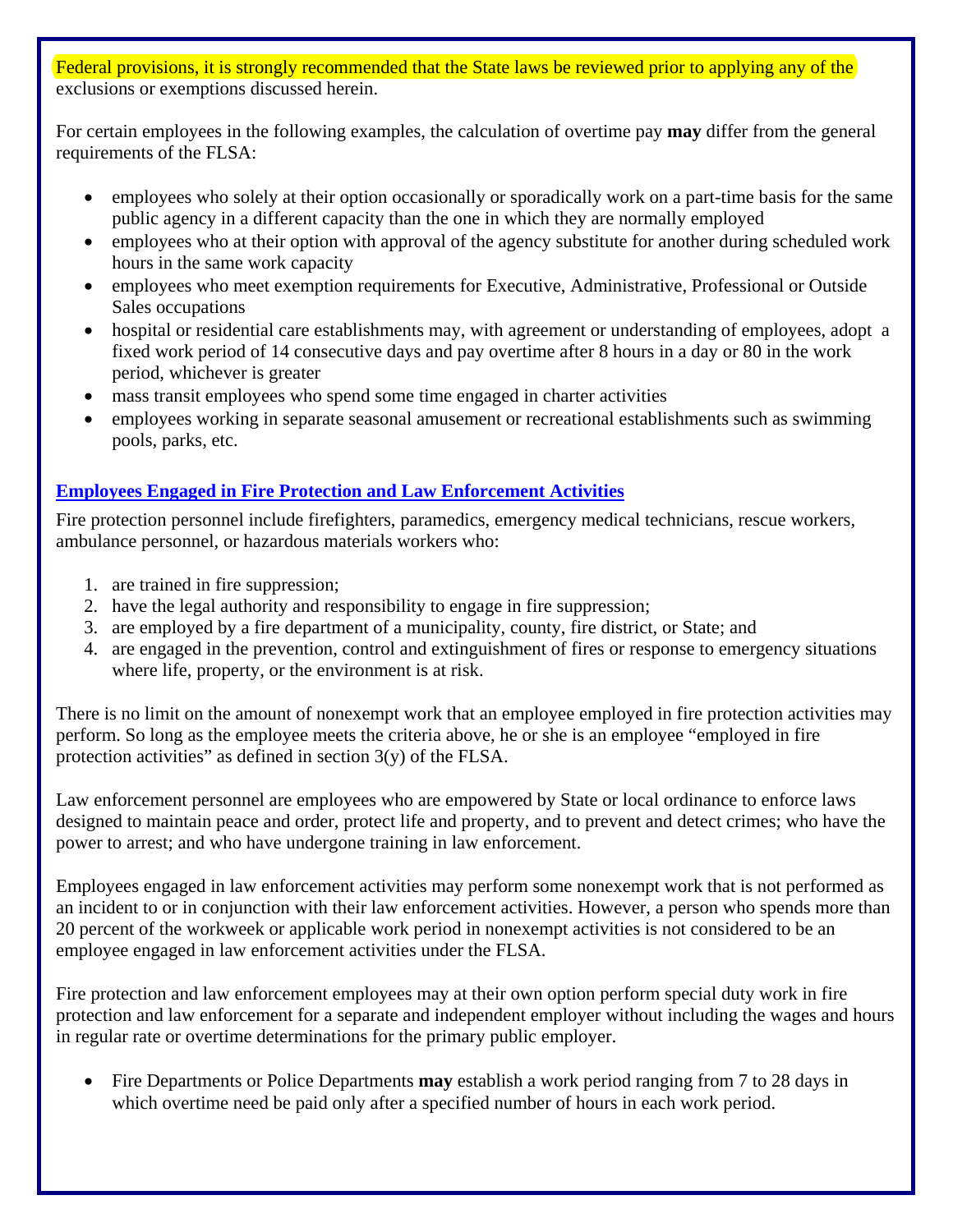Federal provisions, it is strongly recommended that the State laws be reviewed prior to applying any of the exclusions or exemptions discussed herein.

For certain employees in the following examples, the calculation of overtime pay **may** differ from the general requirements of the FLSA:

- employees who solely at their option occasionally or sporadically work on a part-time basis for the same public agency in a different capacity than the one in which they are normally employed
- employees who at their option with approval of the agency substitute for another during scheduled work hours in the same work capacity
- employees who meet exemption requirements for Executive, Administrative, Professional or Outside Sales occupations
- hospital or residential care establishments may, with agreement or understanding of employees, adopt a fixed work period of 14 consecutive days and pay overtime after 8 hours in a day or 80 in the work period, whichever is greater
- mass transit employees who spend some time engaged in charter activities
- employees working in separate seasonal amusement or recreational establishments such as swimming pools, parks, etc.

## **[Employees Engaged in Fire Protection and Law Enforcement Activities](http://www.dol.gov/whd/regs/compliance/whdfs8.pdf)**

Fire protection personnel include firefighters, paramedics, emergency medical technicians, rescue workers, ambulance personnel, or hazardous materials workers who:

- 1. are trained in fire suppression;
- 2. have the legal authority and responsibility to engage in fire suppression;
- 3. are employed by a fire department of a municipality, county, fire district, or State; and
- 4. are engaged in the prevention, control and extinguishment of fires or response to emergency situations where life, property, or the environment is at risk.

There is no limit on the amount of nonexempt work that an employee employed in fire protection activities may perform. So long as the employee meets the criteria above, he or she is an employee "employed in fire protection activities" as defined in section  $3(y)$  of the FLSA.

Law enforcement personnel are employees who are empowered by State or local ordinance to enforce laws designed to maintain peace and order, protect life and property, and to prevent and detect crimes; who have the power to arrest; and who have undergone training in law enforcement.

Employees engaged in law enforcement activities may perform some nonexempt work that is not performed as an incident to or in conjunction with their law enforcement activities. However, a person who spends more than 20 percent of the workweek or applicable work period in nonexempt activities is not considered to be an employee engaged in law enforcement activities under the FLSA.

Fire protection and law enforcement employees may at their own option perform special duty work in fire protection and law enforcement for a separate and independent employer without including the wages and hours in regular rate or overtime determinations for the primary public employer.

 Fire Departments or Police Departments **may** establish a work period ranging from 7 to 28 days in which overtime need be paid only after a specified number of hours in each work period.